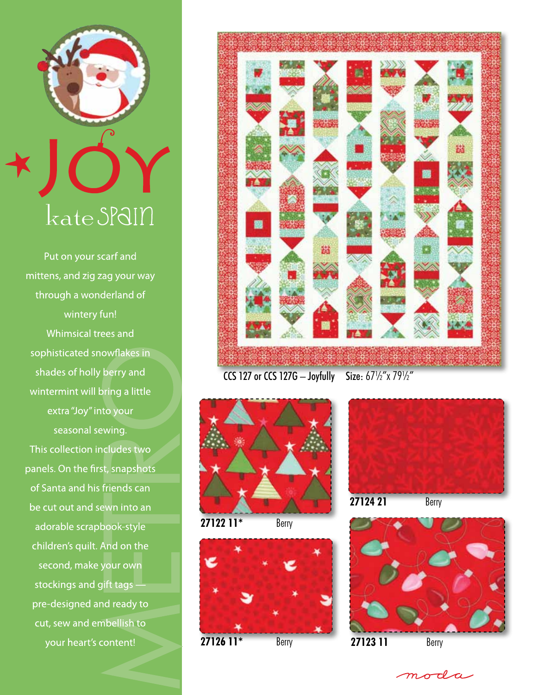

Put on your scarf and mittens, and zig zag your way through a wonderland of wintery fun! Whimsical trees and sophisticated snowflakes in shades of holly berry and wintermint will bring a little extra "Joy" into your seasonal sewing. This collection includes two panels. On the first, snapshots of Santa and his friends can be cut out and sewn into an adorable scrapbook-style children's quilt. And on the second, make your own stockings and gift tags pre-designed and ready to cut, sew and embellish to your heart's content!



CCS 127 or CCS 127G - Joyfully Size:  $67\frac{1}{2}$ "x 79 $\frac{1}{2}$ "



**27122 11\*** Berry







moda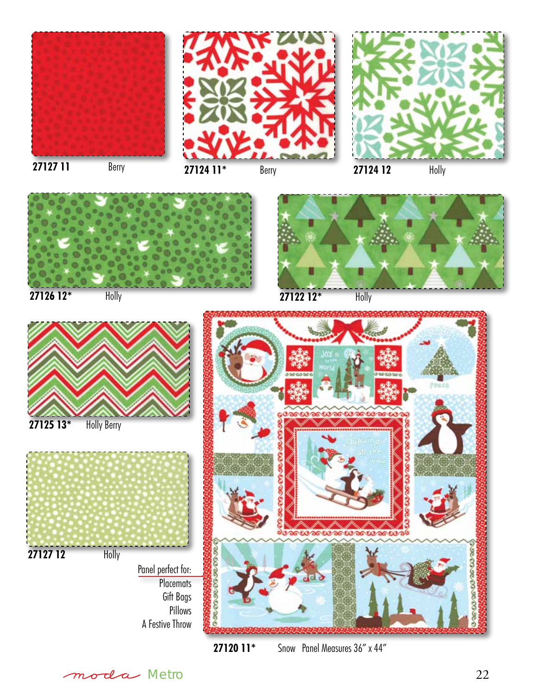







**27125 13\*** Holly Berry

**27127 12** Holly



**27120 11\*** Snow Panel Measures 36" x 44"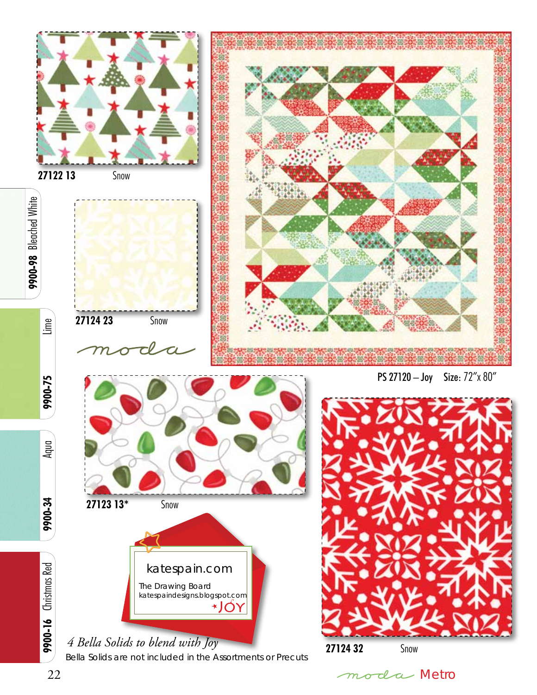